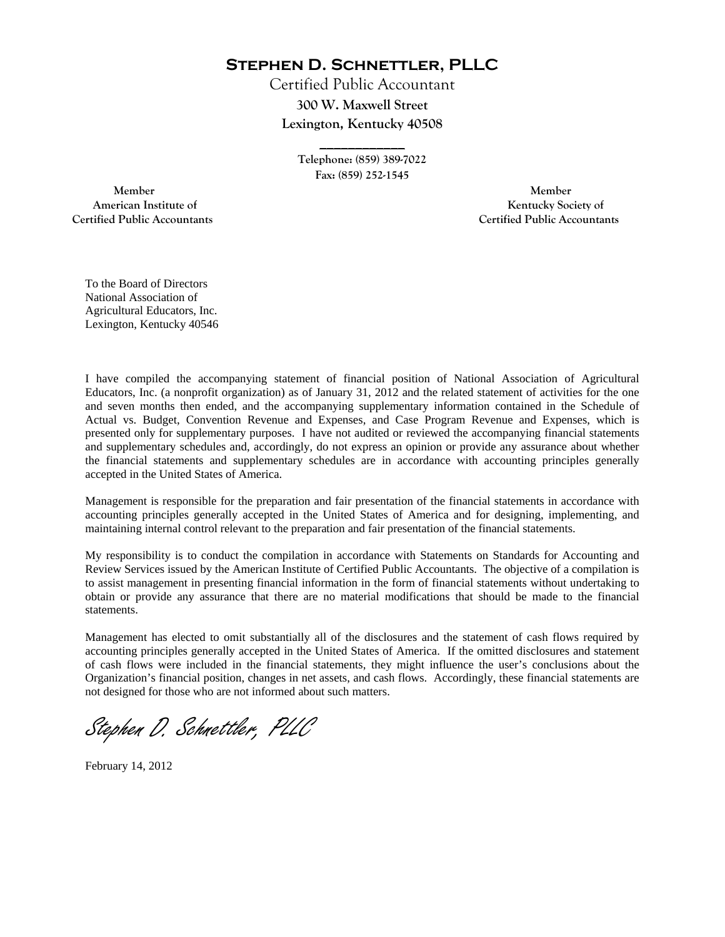**Stephen D. Schnettler, PLLC**

Certified Public Accountant **300 W. Maxwell Street Lexington, Kentucky 40508** 

> **Telephone: (859) 389-7022 Fax: (859) 252-1545**

**\_\_\_\_\_\_\_\_\_\_\_\_** 

 **Member Member Certified Public Accountants Certified Public Accountants** 

American Institute of **Kentucky Society of** 

To the Board of Directors National Association of Agricultural Educators, Inc. Lexington, Kentucky 40546

I have compiled the accompanying statement of financial position of National Association of Agricultural Educators, Inc. (a nonprofit organization) as of January 31, 2012 and the related statement of activities for the one and seven months then ended, and the accompanying supplementary information contained in the Schedule of Actual vs. Budget, Convention Revenue and Expenses, and Case Program Revenue and Expenses, which is presented only for supplementary purposes. I have not audited or reviewed the accompanying financial statements and supplementary schedules and, accordingly, do not express an opinion or provide any assurance about whether the financial statements and supplementary schedules are in accordance with accounting principles generally accepted in the United States of America.

Management is responsible for the preparation and fair presentation of the financial statements in accordance with accounting principles generally accepted in the United States of America and for designing, implementing, and maintaining internal control relevant to the preparation and fair presentation of the financial statements.

My responsibility is to conduct the compilation in accordance with Statements on Standards for Accounting and Review Services issued by the American Institute of Certified Public Accountants. The objective of a compilation is to assist management in presenting financial information in the form of financial statements without undertaking to obtain or provide any assurance that there are no material modifications that should be made to the financial statements.

Management has elected to omit substantially all of the disclosures and the statement of cash flows required by accounting principles generally accepted in the United States of America. If the omitted disclosures and statement of cash flows were included in the financial statements, they might influence the user's conclusions about the Organization's financial position, changes in net assets, and cash flows. Accordingly, these financial statements are not designed for those who are not informed about such matters.

Stephen D. Schnettler, PLLC

February 14, 2012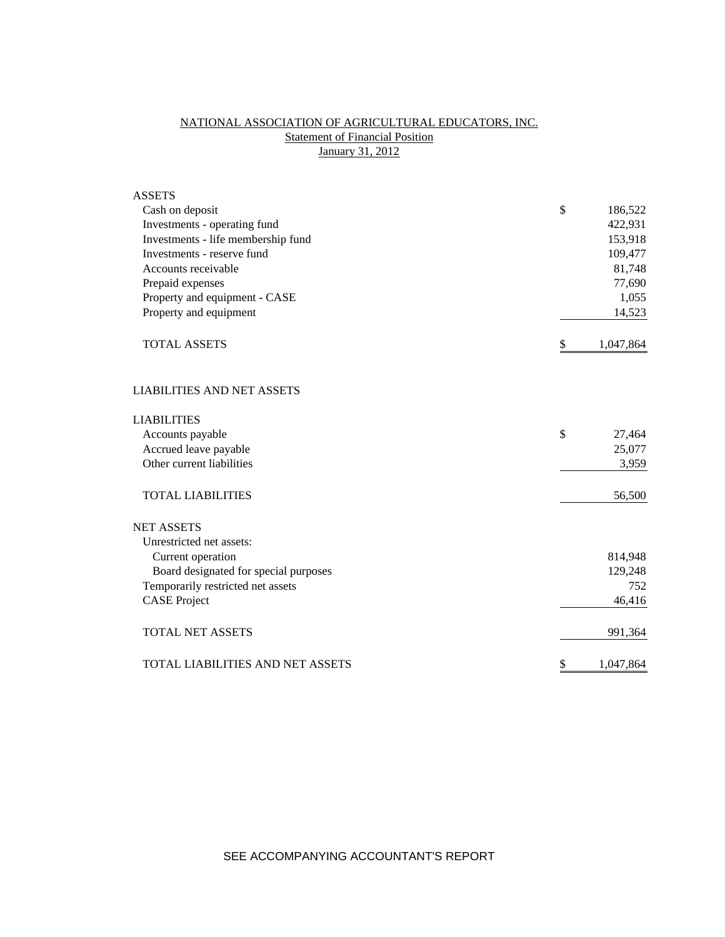# NATIONAL ASSOCIATION OF AGRICULTURAL EDUCATORS, INC. **Statement of Financial Position** January 31, 2012

| <b>ASSETS</b>                         |                 |
|---------------------------------------|-----------------|
| Cash on deposit                       | \$<br>186,522   |
| Investments - operating fund          | 422,931         |
| Investments - life membership fund    | 153,918         |
| Investments - reserve fund            | 109,477         |
| Accounts receivable                   | 81,748          |
| Prepaid expenses                      | 77,690          |
| Property and equipment - CASE         | 1,055           |
| Property and equipment                | 14,523          |
| <b>TOTAL ASSETS</b>                   | \$<br>1,047,864 |
| <b>LIABILITIES AND NET ASSETS</b>     |                 |
| <b>LIABILITIES</b>                    |                 |
| Accounts payable                      | \$<br>27,464    |
| Accrued leave payable                 | 25,077          |
| Other current liabilities             | 3,959           |
| <b>TOTAL LIABILITIES</b>              | 56,500          |
| <b>NET ASSETS</b>                     |                 |
| Unrestricted net assets:              |                 |
| Current operation                     | 814,948         |
| Board designated for special purposes | 129,248         |
| Temporarily restricted net assets     | 752             |
| <b>CASE Project</b>                   | 46,416          |
| <b>TOTAL NET ASSETS</b>               | 991,364         |
| TOTAL LIABILITIES AND NET ASSETS      | \$<br>1,047,864 |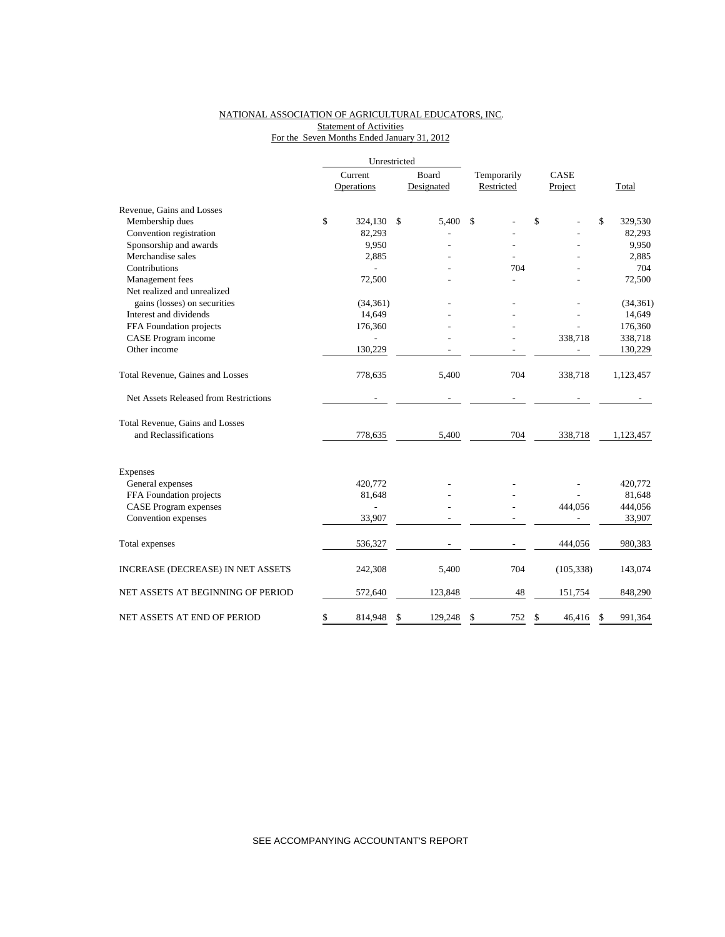# NATIONAL ASSOCIATION OF AGRICULTURAL EDUCATORS, INC. **Statement of Activities** For the Seven Months Ended January 31, 2012

|                                       |    | Current                  | Board         | Temporarily | CASE |            |               |
|---------------------------------------|----|--------------------------|---------------|-------------|------|------------|---------------|
|                                       |    | Operations               | Designated    | Restricted  |      | Project    | Total         |
| Revenue, Gains and Losses             |    |                          |               |             |      |            |               |
| Membership dues                       | \$ | 324,130                  | \$<br>5,400   | \$          | \$   |            | \$<br>329,530 |
| Convention registration               |    | 82,293                   |               |             |      |            | 82,293        |
| Sponsorship and awards                |    | 9,950                    |               |             |      |            | 9,950         |
| Merchandise sales                     |    | 2,885                    |               |             |      |            | 2,885         |
| Contributions                         |    |                          |               | 704         |      |            | 704           |
| Management fees                       |    | 72,500                   |               |             |      |            | 72,500        |
| Net realized and unrealized           |    |                          |               |             |      |            |               |
| gains (losses) on securities          |    | (34, 361)                |               |             |      |            | (34, 361)     |
| Interest and dividends                |    | 14,649                   |               |             |      |            | 14,649        |
| FFA Foundation projects               |    | 176,360                  |               |             |      |            | 176,360       |
| CASE Program income                   |    |                          |               |             |      | 338,718    | 338,718       |
| Other income                          |    | 130,229                  |               |             |      |            | 130,229       |
| Total Revenue, Gaines and Losses      |    | 778,635                  | 5,400         | 704         |      | 338,718    | 1,123,457     |
| Net Assets Released from Restrictions |    |                          |               |             |      |            |               |
| Total Revenue, Gains and Losses       |    |                          |               |             |      |            |               |
| and Reclassifications                 |    | 778,635                  | 5,400         | 704         |      | 338,718    | 1,123,457     |
| Expenses                              |    |                          |               |             |      |            |               |
| General expenses                      |    | 420,772                  |               |             |      |            | 420,772       |
| FFA Foundation projects               |    | 81,648                   |               |             |      |            | 81,648        |
| <b>CASE Program expenses</b>          |    | $\overline{\phantom{0}}$ |               |             |      | 444,056    | 444,056       |
| Convention expenses                   |    | 33,907                   |               |             |      |            | 33,907        |
|                                       |    |                          |               |             |      |            |               |
| Total expenses                        |    | 536,327                  |               |             |      | 444,056    | 980,383       |
| INCREASE (DECREASE) IN NET ASSETS     |    | 242,308                  | 5,400         | 704         |      | (105, 338) | 143,074       |
| NET ASSETS AT BEGINNING OF PERIOD     |    | 572,640                  | 123,848       | 48          |      | 151,754    | 848,290       |
| NET ASSETS AT END OF PERIOD           | \$ | 814,948                  | \$<br>129,248 | \$<br>752   | \$   | 46,416     | \$<br>991,364 |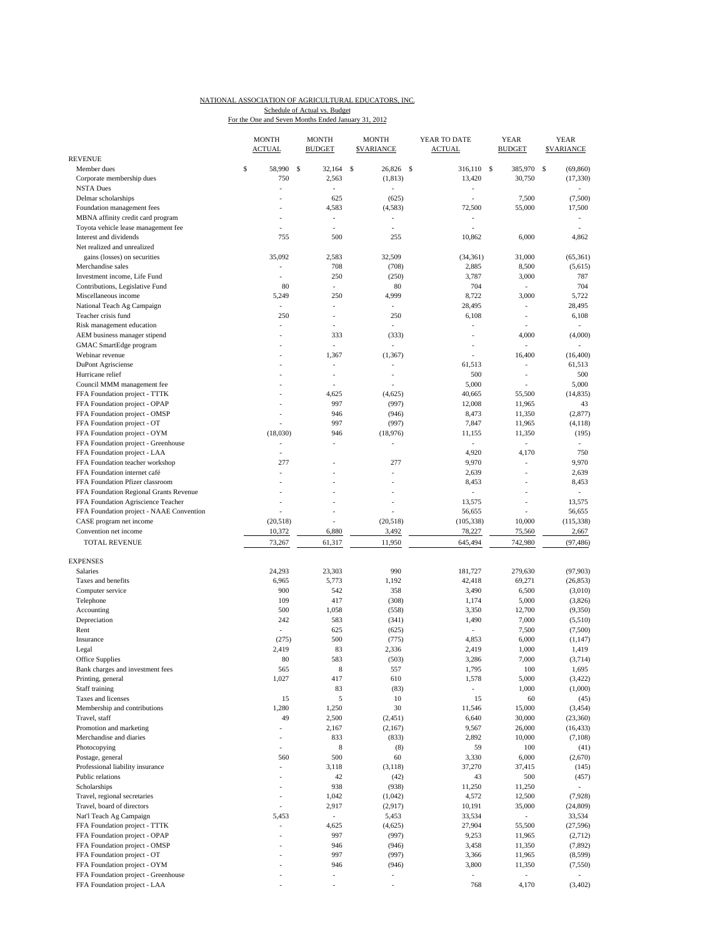|                                                                          | <b>MONTH</b><br><u>ACTUAL</u> | <b>MONTH</b><br><b>BUDGET</b> | <b>MONTH</b><br><b>SVARIANCE</b>  | YEAR TO DATE<br><b>ACTUAL</b>     | YEAR<br><b>BUDGET</b>    | YEAR<br><b>SVARIANCE</b> |
|--------------------------------------------------------------------------|-------------------------------|-------------------------------|-----------------------------------|-----------------------------------|--------------------------|--------------------------|
| <b>REVENUE</b>                                                           |                               |                               |                                   |                                   |                          |                          |
| Member dues                                                              | \$<br>58,990 \$               | 32,164                        | <sup>\$</sup><br>26,826 \$        | 316,110 \$                        | 385,970                  | - S<br>(69, 860)         |
| Corporate membership dues                                                | 750                           | 2,563                         | (1, 813)                          | 13,420                            | 30,750                   | (17, 330)                |
| <b>NSTA Dues</b>                                                         | ä,                            | $\overline{a}$                |                                   | $\overline{\phantom{a}}$          |                          |                          |
| Delmar scholarships                                                      |                               | 625                           | (625)                             |                                   | 7,500                    | (7,500)                  |
| Foundation management fees                                               |                               | 4,583                         | (4, 583)                          | 72,500                            | 55,000                   | 17,500                   |
| MBNA affinity credit card program<br>Toyota vehicle lease management fee | ٠                             | ÷.<br>$\overline{a}$          | $\frac{1}{2}$<br>÷,               |                                   |                          | ÷                        |
| Interest and dividends                                                   | 755                           | 500                           | 255                               | 10,862                            | 6,000                    | 4,862                    |
| Net realized and unrealized                                              |                               |                               |                                   |                                   |                          |                          |
| gains (losses) on securities                                             | 35,092                        | 2,583                         | 32,509                            | (34, 361)                         | 31,000                   | (65, 361)                |
| Merchandise sales                                                        |                               | 708                           | (708)                             | 2,885                             | 8,500                    | (5,615)                  |
| Investment income, Life Fund                                             |                               | 250                           | (250)                             | 3,787                             | 3,000                    | 787                      |
| Contributions, Legislative Fund                                          | 80                            | ÷                             | 80                                | 704                               | $\sim$                   | 704                      |
| Miscellaneous income                                                     | 5,249                         | 250                           | 4,999                             | 8,722                             | 3,000                    | 5,722                    |
| National Teach Ag Campaign                                               |                               | ÷,                            |                                   | 28,495                            | ÷,                       | 28,495                   |
| Teacher crisis fund                                                      | 250                           | $\overline{a}$                | 250                               | 6,108                             | ÷.                       | 6,108                    |
| Risk management education                                                | ÷,                            | $\overline{a}$                | $\sim$                            | $\sim$                            |                          | ÷                        |
| AEM business manager stipend                                             |                               | 333                           | (333)                             | L.                                | 4,000                    | (4,000)                  |
| GMAC SmartEdge program                                                   |                               | ÷,                            | $\overline{a}$                    | ÷,                                | $\overline{a}$           |                          |
| Webinar revenue                                                          |                               | 1,367                         | (1, 367)                          |                                   | 16,400                   | (16, 400)                |
| DuPont Agrisciense                                                       |                               | $\overline{a}$                |                                   | 61,513                            | ÷.                       | 61,513                   |
| Hurricane relief                                                         |                               | ٠                             | ٠                                 | 500                               | $\overline{\phantom{a}}$ | 500                      |
| Council MMM management fee                                               |                               |                               |                                   | 5,000                             |                          | 5,000                    |
| FFA Foundation project - TTTK                                            |                               | 4,625                         | (4,625)                           | 40,665                            | 55,500                   | (14, 835)                |
| FFA Foundation project - OPAP                                            |                               | 997                           | (997)                             | 12,008                            | 11,965                   | 43                       |
| FFA Foundation project - OMSP                                            |                               | 946                           | (946)                             | 8,473                             | 11,350                   | (2,877)                  |
| FFA Foundation project - OT                                              |                               | 997                           | (997)                             | 7,847                             | 11,965                   | (4,118)                  |
| FFA Foundation project - OYM                                             | (18,030)                      | 946                           | (18,976)                          | 11,155                            | 11,350                   | (195)                    |
| FFA Foundation project - Greenhouse                                      |                               |                               |                                   | $\sim$                            | $\mathcal{L}$            | $\overline{\phantom{a}}$ |
| FFA Foundation project - LAA                                             | ٠                             |                               |                                   | 4,920                             | 4,170                    | 750                      |
| FFA Foundation teacher workshop                                          | 277                           |                               | 277                               | 9,970                             | $\overline{a}$           | 9,970                    |
| FFA Foundation internet café                                             | ÷                             | L,                            | ÷,                                | 2,639                             | ÷.                       | 2,639                    |
| FFA Foundation Pfizer classroom                                          |                               |                               |                                   | 8,453                             |                          | 8,453                    |
| FFA Foundation Regional Grants Revenue                                   |                               | $\overline{a}$                |                                   | $\overline{\phantom{a}}$          | ÷                        | ÷                        |
| FFA Foundation Agriscience Teacher                                       |                               |                               |                                   | 13,575                            | $\overline{a}$           | 13,575                   |
| FFA Foundation project - NAAE Convention                                 |                               | $\overline{a}$                | $\overline{a}$                    | 56,655                            |                          | 56,655                   |
| CASE program net income                                                  | (20,518)                      |                               | (20,518)                          | (105, 338)                        | 10,000                   | (115, 338)               |
| Convention net income                                                    | 10,372                        | 6,880                         | 3,492                             | 78,227                            | 75,560                   | 2,667                    |
| <b>TOTAL REVENUE</b>                                                     | 73,267                        | 61,317                        | 11,950                            | 645,494                           | 742,980                  | (97, 486)                |
| <b>EXPENSES</b>                                                          |                               |                               |                                   |                                   |                          |                          |
| Salaries                                                                 | 24,293                        | 23,303                        | 990                               | 181,727                           | 279,630                  | (97, 903)                |
| Taxes and benefits                                                       | 6,965                         | 5,773                         | 1,192                             | 42,418                            | 69,271                   | (26, 853)                |
| Computer service                                                         | 900                           | 542                           | 358                               | 3,490                             | 6,500                    | (3,010)                  |
| Telephone                                                                | 109                           | 417                           | (308)                             | 1,174                             | 5,000                    | (3,826)                  |
| Accounting                                                               | 500                           | 1,058                         | (558)                             | 3,350                             | 12,700                   | (9,350)                  |
| Depreciation                                                             | 242                           | 583                           | (341)                             | 1,490                             | 7,000                    | (5,510)                  |
| Rent                                                                     | $\overline{\phantom{a}}$      | 625                           | (625)                             |                                   | 7,500                    | (7,500)                  |
| Insurance                                                                | (275)                         | 500                           | (775)                             | 4,853                             | 6,000                    | (1, 147)                 |
| Legal                                                                    | 2,419                         | 83                            | 2,336                             | 2,419                             | 1,000                    | 1,419                    |
| Office Supplies                                                          | 80                            | 583                           | (503)                             | 3,286                             | 7,000                    | (3,714)                  |
| Bank charges and investment fees                                         | 565                           | 8                             | 557                               | 1,795                             | 100                      | 1,695                    |
| Printing, general                                                        | 1,027                         | 417                           | 610                               | 1,578                             | 5,000                    | (3, 422)                 |
| Staff training                                                           |                               | 83                            | (83)                              |                                   | 1,000                    | (1,000)                  |
| Taxes and licenses                                                       | 15                            | 5                             | 10                                | 15                                | 60                       | (45)                     |
| Membership and contributions                                             | 1,280                         | 1,250                         | 30                                | 11,546                            | 15,000                   | (3, 454)                 |
| Travel, staff                                                            | 49                            | 2,500                         | (2,451)                           | 6,640                             | 30,000                   | (23, 360)                |
| Promotion and marketing                                                  |                               | 2,167                         | (2,167)                           | 9,567                             | 26,000                   | (16, 433)                |
| Merchandise and diaries                                                  |                               | 833                           | (833)                             | 2,892                             | 10,000                   | (7,108)                  |
| Photocopying                                                             | $\overline{\phantom{a}}$      | 8                             | (8)                               | 59                                | 100                      | (41)                     |
| Postage, general                                                         | 560                           | 500                           | 60                                | 3,330                             | 6,000                    | (2,670)                  |
| Professional liability insurance                                         | $\overline{\phantom{a}}$      | 3,118                         | (3, 118)                          | 37,270                            | 37,415                   | (145)                    |
| Public relations                                                         |                               | 42                            | (42)                              | 43                                | 500                      | (457)                    |
| Scholarships                                                             | ÷                             | 938                           | (938)                             | 11,250                            | 11,250                   | $\mathcal{L}$            |
| Travel, regional secretaries                                             | ÷,                            | 1,042                         | (1,042)                           | 4,572                             | 12,500                   | (7,928)                  |
| Travel, board of directors                                               | ÷,                            | 2,917                         | (2,917)                           | 10,191                            | 35,000                   | (24, 809)                |
| Nat'l Teach Ag Campaign                                                  | 5,453                         | $\overline{\phantom{a}}$      | 5,453                             | 33,534                            | $\sim$                   | 33,534                   |
| FFA Foundation project - TTTK                                            | ÷,                            | 4,625                         | (4,625)                           | 27,904                            | 55,500                   | (27, 596)                |
| FFA Foundation project - OPAP                                            | $\overline{\phantom{a}}$      | 997                           | (997)                             | 9,253                             | 11,965                   | (2,712)                  |
| FFA Foundation project - OMSP                                            |                               | 946                           | (946)                             | 3,458                             | 11,350                   | (7, 892)                 |
| FFA Foundation project - OT                                              |                               | 997                           | (997)                             | 3,366                             | 11,965                   | (8,599)                  |
| FFA Foundation project - OYM<br>FFA Foundation project - Greenhouse      |                               | 946<br>$\overline{a}$         | (946)<br>$\overline{\phantom{a}}$ | 3,800<br>$\overline{\phantom{a}}$ | 11,350                   | (7,550)                  |
| FFA Foundation project - LAA                                             |                               |                               |                                   | 768                               | 4,170                    | (3,402)                  |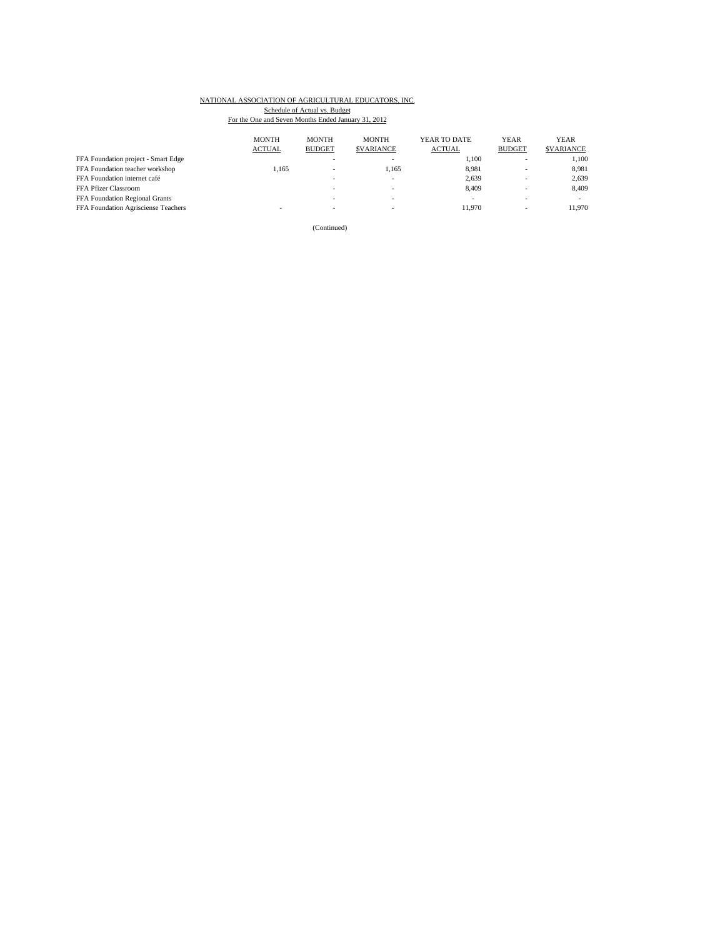|                                     | <b>MONTH</b><br><b>ACTUAL</b> | <b>MONTH</b><br><b>BUDGET</b> | <b>MONTH</b><br><b>SVARIANCE</b> | YEAR TO DATE<br><b>ACTUAL</b> | <b>YEAR</b><br><b>BUDGET</b> | <b>YEAR</b><br><b>SVARIANCE</b> |
|-------------------------------------|-------------------------------|-------------------------------|----------------------------------|-------------------------------|------------------------------|---------------------------------|
| FFA Foundation project - Smart Edge |                               | ۰                             |                                  | 1.100                         | $\overline{\phantom{a}}$     | 1.100                           |
| FFA Foundation teacher workshop     | 1.165                         | ۰                             | 1.165                            | 8.981                         | $\overline{\phantom{a}}$     | 8,981                           |
| FFA Foundation internet café        |                               | ۰                             |                                  | 2,639                         | $\overline{\phantom{a}}$     | 2,639                           |
| FFA Pfizer Classroom                |                               | ۰                             |                                  | 8.409                         | $\overline{\phantom{a}}$     | 8,409                           |
| FFA Foundation Regional Grants      |                               |                               |                                  |                               |                              |                                 |
| FFA Foundation Agrisciense Teachers |                               | -                             |                                  | 11.970                        | $\overline{\phantom{a}}$     | 11.970                          |

(Continued)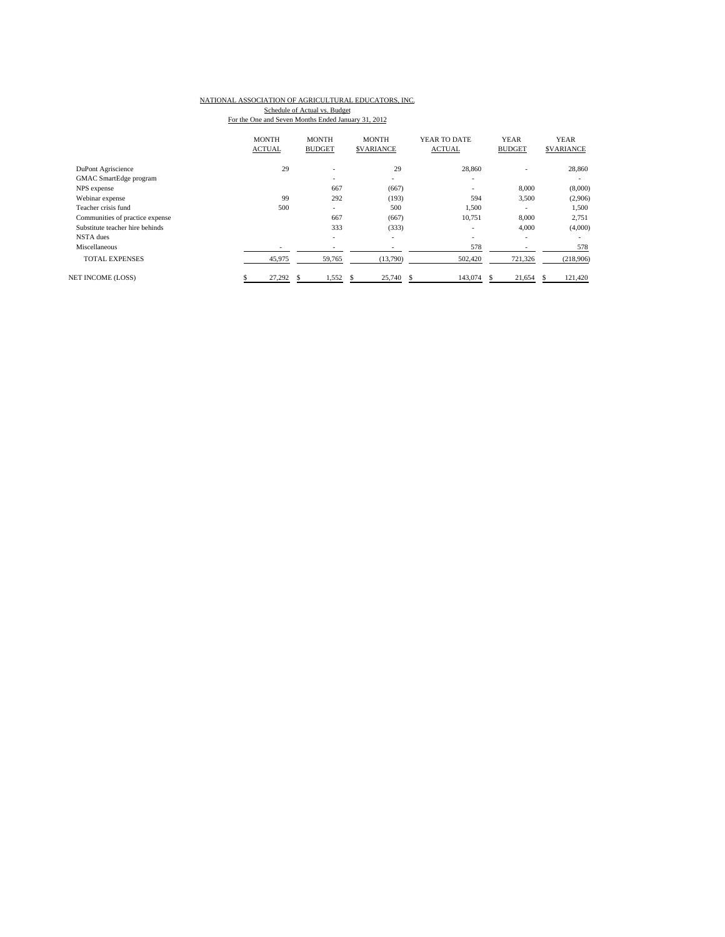|                                 | <b>MONTH</b><br><b>ACTUAL</b> | <b>MONTH</b><br><b>BUDGET</b> | <b>MONTH</b><br><b>SVARIANCE</b> | YEAR TO DATE<br><b>ACTUAL</b> | <b>YEAR</b><br><b>BUDGET</b> | <b>YEAR</b><br><b>\$VARIANCE</b> |
|---------------------------------|-------------------------------|-------------------------------|----------------------------------|-------------------------------|------------------------------|----------------------------------|
| DuPont Agriscience              | 29                            | ۰                             | 29                               | 28,860                        |                              | 28,860                           |
| GMAC SmartEdge program          |                               | -                             | $\overline{\phantom{a}}$         | ۰                             |                              | ۰                                |
| NPS expense                     |                               | 667                           | (667)                            | -                             | 8,000                        | (8,000)                          |
| Webinar expense                 | 99                            | 292                           | (193)                            | 594                           | 3,500                        | (2,906)                          |
| Teacher crisis fund             | 500                           | ۰.                            | 500                              | 1,500                         | $\overline{\phantom{0}}$     | 1,500                            |
| Communities of practice expense |                               | 667                           | (667)                            | 10,751                        | 8,000                        | 2,751                            |
| Substitute teacher hire behinds |                               | 333                           | (333)                            | ۰                             | 4,000                        | (4,000)                          |
| NSTA dues                       |                               | -                             |                                  |                               |                              |                                  |
| Miscellaneous                   |                               |                               |                                  | 578                           |                              | 578                              |
| <b>TOTAL EXPENSES</b>           | 45,975                        | 59,765                        | (13,790)                         | 502,420                       | 721,326                      | (218,906)                        |
| NET INCOME (LOSS)               | 27,292                        | 1,552                         | 25,740                           | 143,074                       | 21,654                       | 121,420                          |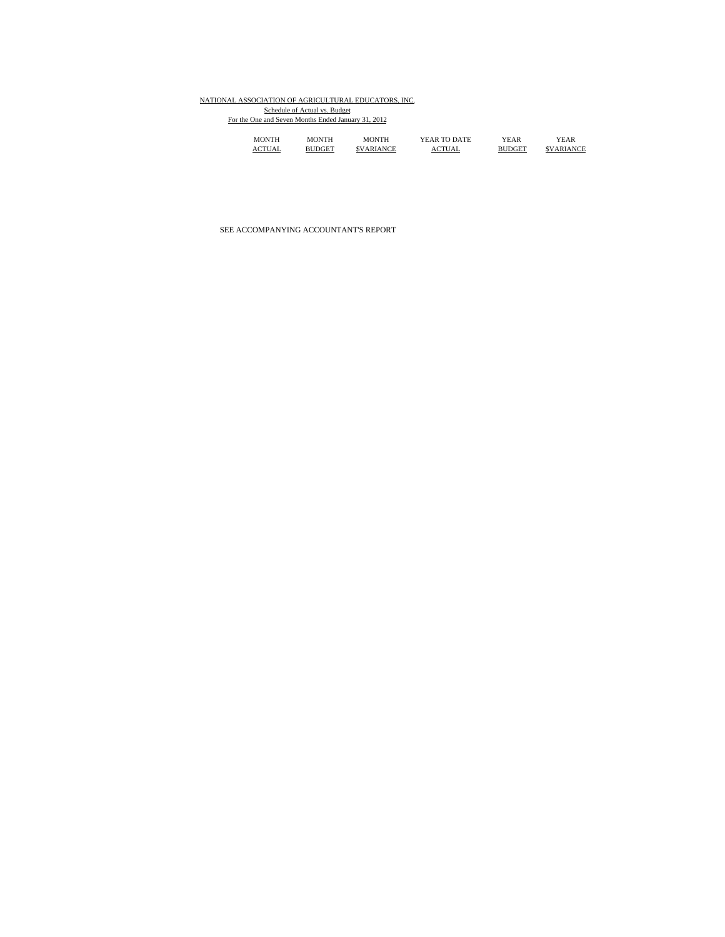| <b>MONTH</b> | MONTH         | MONTH                   | YEAR TO DATE  | YEAR          | YEAR             |
|--------------|---------------|-------------------------|---------------|---------------|------------------|
| ACTUAL       | <b>BHDGET</b> | <i><b>SVARIANCE</b></i> | <b>ACTUAL</b> | <b>BUDGET</b> | <b>SVARIANCE</b> |

SEE ACCOMPANYING ACCOUNTANT'S REPORT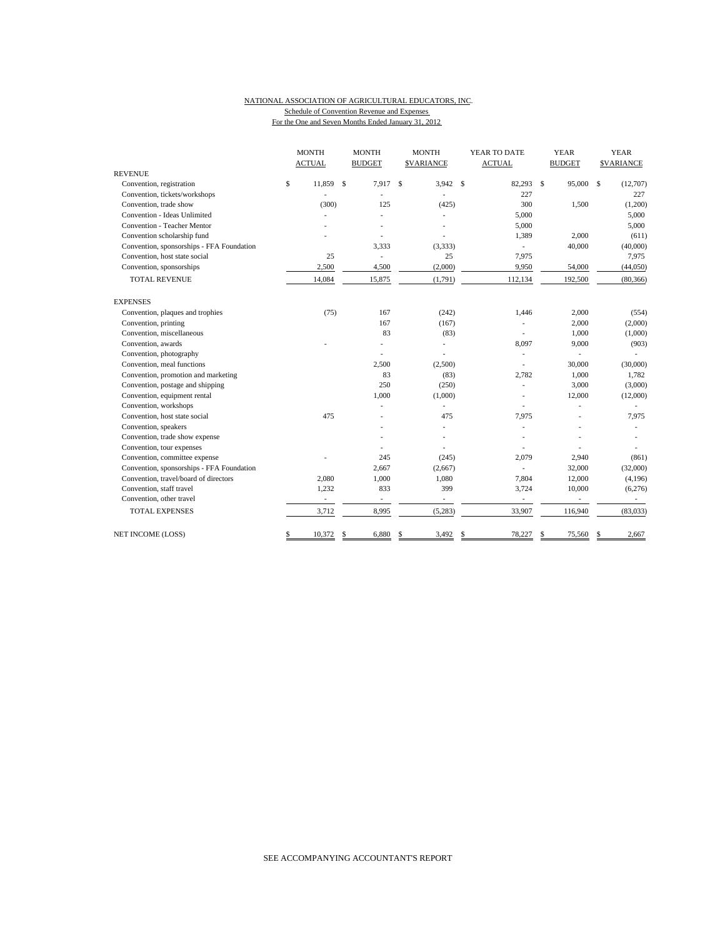#### NATIONAL ASSOCIATION OF AGRICULTURAL EDUCATORS, INC. Schedule of Convention Revenue and Expenses

For the One and Seven Months Ended January 31, 2012

|                                           | <b>MONTH</b>             |    | <b>MONTH</b>             | <b>MONTH</b>             | YEAR TO DATE  |               | <b>YEAR</b>   | <b>YEAR</b>       |
|-------------------------------------------|--------------------------|----|--------------------------|--------------------------|---------------|---------------|---------------|-------------------|
| <b>REVENUE</b>                            | <b>ACTUAL</b>            |    | <b>BUDGET</b>            | <b>\$VARIANCE</b>        | <b>ACTUAL</b> |               | <b>BUDGET</b> | <b>\$VARIANCE</b> |
| Convention, registration                  | \$<br>11.859             | \$ | 7.917                    | \$<br>$3,942$ \$         | 82,293        | $\mathbf{s}$  | 95,000 \$     | (12,707)          |
| Convention, tickets/workshops             |                          |    |                          |                          | 227           |               |               | 227               |
| Convention, trade show                    | (300)                    |    | 125                      | (425)                    | 300           |               | 1,500         | (1,200)           |
| Convention - Ideas Unlimited              |                          |    |                          |                          | 5,000         |               |               | 5,000             |
| Convention - Teacher Mentor               |                          |    |                          |                          | 5,000         |               |               | 5,000             |
| Convention scholarship fund               |                          |    |                          |                          | 1,389         |               | 2,000         | (611)             |
| Convention, sponsorships - FFA Foundation |                          |    | 3,333                    | (3, 333)                 |               |               | 40,000        | (40,000)          |
| Convention, host state social             | 25                       |    | $\overline{a}$           | 25                       | 7,975         |               |               | 7,975             |
| Convention, sponsorships                  | 2,500                    |    | 4,500                    | (2,000)                  | 9,950         |               | 54,000        | (44,050)          |
| <b>TOTAL REVENUE</b>                      | 14,084                   |    | 15,875                   | (1,791)                  | 112,134       |               | 192,500       | (80, 366)         |
| <b>EXPENSES</b>                           |                          |    |                          |                          |               |               |               |                   |
| Convention, plaques and trophies          | (75)                     |    | 167                      | (242)                    | 1,446         |               | 2,000         | (554)             |
| Convention, printing                      |                          |    | 167                      | (167)                    |               |               | 2,000         | (2,000)           |
| Convention, miscellaneous                 |                          |    | 83                       | (83)                     |               |               | 1,000         | (1,000)           |
| Convention, awards                        |                          |    |                          |                          | 8,097         |               | 9,000         | (903)             |
| Convention, photography                   |                          |    |                          |                          | ٠             |               |               |                   |
| Convention, meal functions                |                          |    | 2,500                    | (2,500)                  | ä,            |               | 30,000        | (30,000)          |
| Convention, promotion and marketing       |                          |    | 83                       | (83)                     | 2,782         |               | 1,000         | 1,782             |
| Convention, postage and shipping          |                          |    | 250                      | (250)                    |               |               | 3,000         | (3,000)           |
| Convention, equipment rental              |                          |    | 1,000                    | (1,000)                  |               |               | 12,000        | (12,000)          |
| Convention, workshops                     |                          |    |                          | ÷,                       |               |               |               |                   |
| Convention, host state social             | 475                      |    |                          | 475                      | 7,975         |               |               | 7,975             |
| Convention, speakers                      |                          |    |                          | ٠                        |               |               |               |                   |
| Convention, trade show expense            |                          |    |                          |                          |               |               |               |                   |
| Convention, tour expenses                 |                          |    |                          |                          |               |               |               |                   |
| Convention, committee expense             |                          |    | 245                      | (245)                    | 2,079         |               | 2,940         | (861)             |
| Convention, sponsorships - FFA Foundation |                          |    | 2,667                    | (2,667)                  |               |               | 32,000        | (32,000)          |
| Convention, travel/board of directors     | 2,080                    |    | 1,000                    | 1,080                    | 7,804         |               | 12,000        | (4,196)           |
| Convention, staff travel                  | 1,232                    |    | 833                      | 399                      | 3,724         |               | 10,000        | (6,276)           |
| Convention, other travel                  | $\overline{\phantom{a}}$ |    | $\overline{\phantom{a}}$ | $\overline{\phantom{a}}$ | ÷,            |               | ٠             | $\sim$            |
| <b>TOTAL EXPENSES</b>                     | 3,712                    |    | 8,995                    | (5,283)                  | 33,907        |               | 116,940       | (83,033)          |
| NET INCOME (LOSS)                         | \$<br>10,372             | S  | 6,880                    | \$<br>3,492              | \$<br>78,227  | <sup>\$</sup> | 75,560        | \$<br>2,667       |